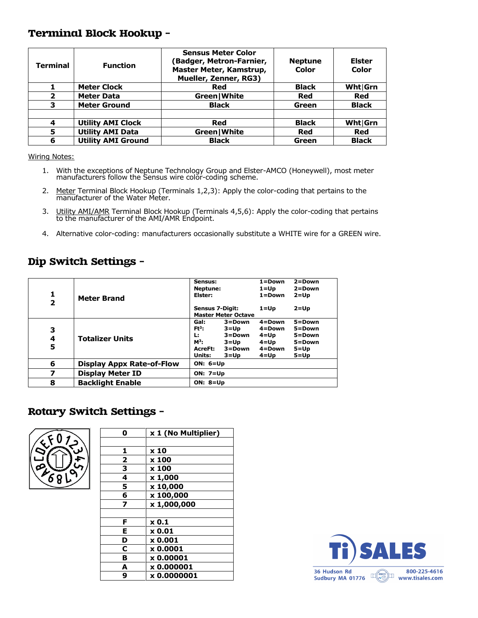#### Terminal Block Hookup –

| <b>Terminal</b>         | <b>Function</b>           | <b>Sensus Meter Color</b><br><b>Badger, Metron-Farnier,</b><br>Master Meter, Kamstrup,<br>Mueller, Zenner, RG3) | <b>Neptune</b><br>Color | <b>Elster</b><br>Color |
|-------------------------|---------------------------|-----------------------------------------------------------------------------------------------------------------|-------------------------|------------------------|
|                         | <b>Meter Clock</b>        | Red                                                                                                             | <b>Black</b>            | Wht Grn                |
| $\overline{\mathbf{2}}$ | <b>Meter Data</b>         | Green   White                                                                                                   | Red                     | <b>Red</b>             |
| 3                       | <b>Meter Ground</b>       | <b>Black</b>                                                                                                    | Green                   | <b>Black</b>           |
|                         |                           |                                                                                                                 |                         |                        |
| 4                       | <b>Utility AMI Clock</b>  | Red                                                                                                             | <b>Black</b>            | Wht Grn                |
| 5                       | <b>Utility AMI Data</b>   | Green   White                                                                                                   | <b>Red</b>              | Red                    |
| 6                       | <b>Utility AMI Ground</b> | <b>Black</b>                                                                                                    | Green                   | <b>Black</b>           |

Wiring Notes:

- 1. With the exceptions of Neptune Technology Group and Elster-AMCO (Honeywell), most meter manufacturers follow the Sensus wire color-coding scheme.
- 2. Meter Terminal Block Hookup (Terminals 1,2,3): Apply the color-coding that pertains to the manufacturer of the Water Meter.
- 3. Utility AMI/AMR Terminal Block Hookup (Terminals 4,5,6): Apply the color-coding that pertains to the manufacturer of the AMI/AMR Endpoint.
- 4. Alternative color-coding: manufacturers occasionally substitute a WHITE wire for a GREEN wire.

### Dip Switch Settings –

| 1<br>$\overline{\mathbf{z}}$ | <b>Meter Brand</b>        | Sensus:<br>Neptune:<br>Elster:                         |                                                                    | $1 = Down$<br>$1 =$ Up<br>$1 =$ Down                           | $2 = Down$<br>$2 = Down$<br>$2 = Up$                                 |
|------------------------------|---------------------------|--------------------------------------------------------|--------------------------------------------------------------------|----------------------------------------------------------------|----------------------------------------------------------------------|
|                              |                           | <b>Sensus 7-Digit:</b>                                 | <b>Master Meter Octave</b>                                         | $1 = Up$                                                       | $2 = Up$                                                             |
| 3<br>4<br>5                  | <b>Totalizer Units</b>    | Gal:<br>$Ft^3$ :<br>Ŀ.<br>$M^3$ :<br>AcreFt:<br>Units: | $3 =$ Down<br>$3 = Up$<br>3=Down<br>3=Up<br>$3 = Down$<br>$3 = Up$ | $4 = Down$<br>4=Down<br>4=Up<br>4=Up<br>$4 =$ Down<br>$4 = Up$ | $5 = Down$<br>5=Down<br>$5 = Down$<br>5=Down<br>$5 = Up$<br>$5 = Up$ |
| 6                            | Display Appx Rate-of-Flow | ON: $6 = Up$                                           |                                                                    |                                                                |                                                                      |
| 7                            | <b>Display Meter ID</b>   | <b>ON: 7=Up</b>                                        |                                                                    |                                                                |                                                                      |
| 8                            | <b>Backlight Enable</b>   | ON: $8 = Up$                                           |                                                                    |                                                                |                                                                      |

#### Rotary Switch Settings –



| 0 | x 1 (No Multiplier) |
|---|---------------------|
|   |                     |
| 1 | x 10                |
| 2 | x 100               |
| 3 | x 100               |
| 4 | x 1,000             |
| 5 | x 10,000            |
| 6 | x 100,000           |
| 7 | x 1,000,000         |
|   |                     |
| F | $\times 0.1$        |
| Е | $\times 0.01$       |
| D | $x$ 0.001           |
| C | x 0.0001            |
| в | x 0.00001           |
| A | x 0.000001          |
| 9 | x 0.0000001         |

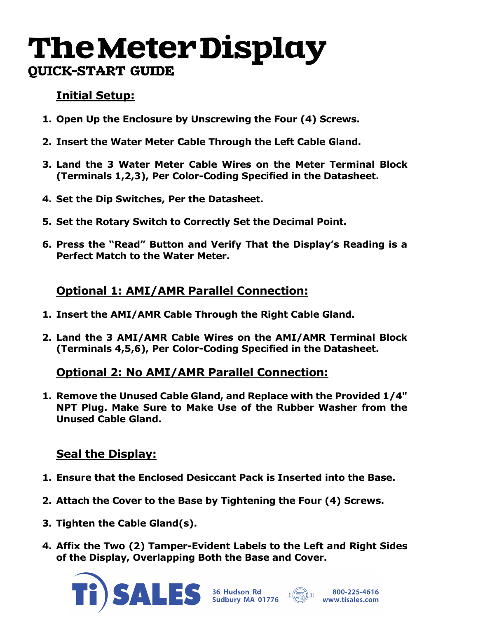# TheMeterDisplay QUICK-START GUIDE

## **Initial Setup:**

- **1. Open Up the Enclosure by Unscrewing the Four (4) Screws.**
- **2. Insert the Water Meter Cable Through the Left Cable Gland.**
- **3. Land the 3 Water Meter Cable Wires on the Meter Terminal Block (Terminals 1,2,3), Per Color-Coding Specified in the Datasheet.**
- **4. Set the Dip Switches, Per the Datasheet.**
- **5. Set the Rotary Switch to Correctly Set the Decimal Point.**
- **6. Press the "Read" Button and Verify That the Display's Reading is a Perfect Match to the Water Meter.**

## **Optional 1: AMI/AMR Parallel Connection:**

- **1. Insert the AMI/AMR Cable Through the Right Cable Gland.**
- **2. Land the 3 AMI/AMR Cable Wires on the AMI/AMR Terminal Block (Terminals 4,5,6), Per Color-Coding Specified in the Datasheet.**

## **Optional 2: No AMI/AMR Parallel Connection:**

**1. Remove the Unused Cable Gland, and Replace with the Provided 1/4" NPT Plug. Make Sure to Make Use of the Rubber Washer from the Unused Cable Gland.**

## **Seal the Display:**

- **1. Ensure that the Enclosed Desiccant Pack is Inserted into the Base.**
- **2. Attach the Cover to the Base by Tightening the Four (4) Screws.**
- **3. Tighten the Cable Gland(s).**
- **4. Affix the Two (2) Tamper-Evident Labels to the Left and Right Sides of the Display, Overlapping Both the Base and Cover.**